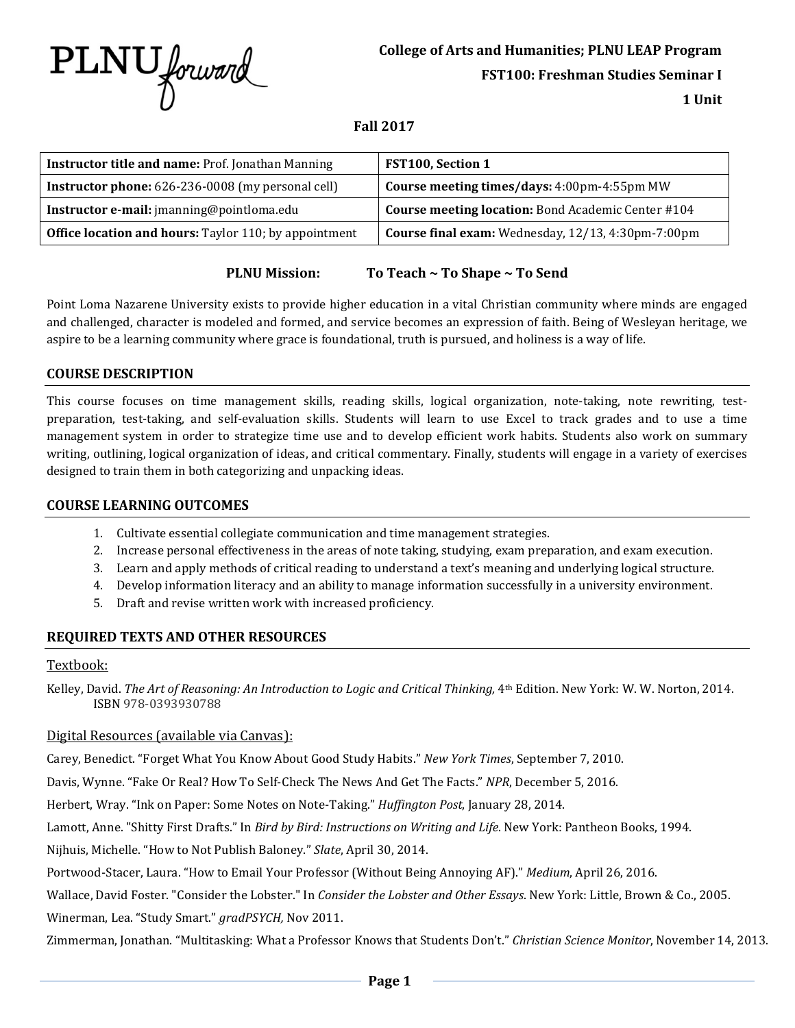

# **College of Arts and Humanities; PLNU LEAP Program**

**FST100: Freshman Studies Seminar I**

**1 Unit**

### **Fall 2017**

| Instructor title and name: Prof. Jonathan Manning            | <b>FST100, Section 1</b>                           |
|--------------------------------------------------------------|----------------------------------------------------|
| <b>Instructor phone:</b> 626-236-0008 (my personal cell)     | Course meeting times/days: 4:00pm-4:55pm MW        |
| Instructor e-mail: jmanning@pointloma.edu                    | Course meeting location: Bond Academic Center #104 |
| <b>Office location and hours:</b> Taylor 110; by appointment | Course final exam: Wednesday, 12/13, 4:30pm-7:00pm |

# **PLNU Mission: To Teach ~ To Shape ~ To Send**

Point Loma Nazarene University exists to provide higher education in a vital Christian community where minds are engaged and challenged, character is modeled and formed, and service becomes an expression of faith. Being of Wesleyan heritage, we aspire to be a learning community where grace is foundational, truth is pursued, and holiness is a way of life.

### **COURSE DESCRIPTION**

This course focuses on time management skills, reading skills, logical organization, note-taking, note rewriting, testpreparation, test-taking, and self-evaluation skills. Students will learn to use Excel to track grades and to use a time management system in order to strategize time use and to develop efficient work habits. Students also work on summary writing, outlining, logical organization of ideas, and critical commentary. Finally, students will engage in a variety of exercises designed to train them in both categorizing and unpacking ideas.

## **COURSE LEARNING OUTCOMES**

- 1. Cultivate essential collegiate communication and time management strategies.
- 2. Increase personal effectiveness in the areas of note taking, studying, exam preparation, and exam execution.
- 3. Learn and apply methods of critical reading to understand a text's meaning and underlying logical structure.
- 4. Develop information literacy and an ability to manage information successfully in a university environment.
- 5. Draft and revise written work with increased proficiency.

# **REQUIRED TEXTS AND OTHER RESOURCES**

#### Textbook:

Kelley, David. *The Art of Reasoning: An Introduction to Logic and Critical Thinking,* 4<sup>th</sup> Edition. New York: W. W. Norton, 2014. ISBN 978-0393930788

#### Digital Resources (available via Canvas):

Carey, Benedict. "Forget What You Know About Good Study Habits." *New York Times*, September 7, 2010.

Davis, Wynne. "Fake Or Real? How To Self-Check The News And Get The Facts." *NPR*, December 5, 2016.

Herbert, Wray. "Ink on Paper: Some Notes on Note-Taking." *Huffington Post*, January 28, 2014.

Lamott, Anne. "Shitty First Drafts." In *Bird by Bird: Instructions on Writing and Life*. New York: Pantheon Books, 1994.

Nijhuis, Michelle. "How to Not Publish Baloney." *Slate*, April 30, 2014.

Portwood-Stacer, Laura. "How to Email Your Professor (Without Being Annoying AF)." *Medium*, April 26, 2016.

Wallace, David Foster. "Consider the Lobster." In *Consider the Lobster and Other Essays*. New York: Little, Brown & Co., 2005.

Winerman, Lea. "Study Smart." *gradPSYCH,* Nov 2011.

Zimmerman, Jonathan. "Multitasking: What a Professor Knows that Students Don't." *Christian Science Monitor*, November 14, 2013.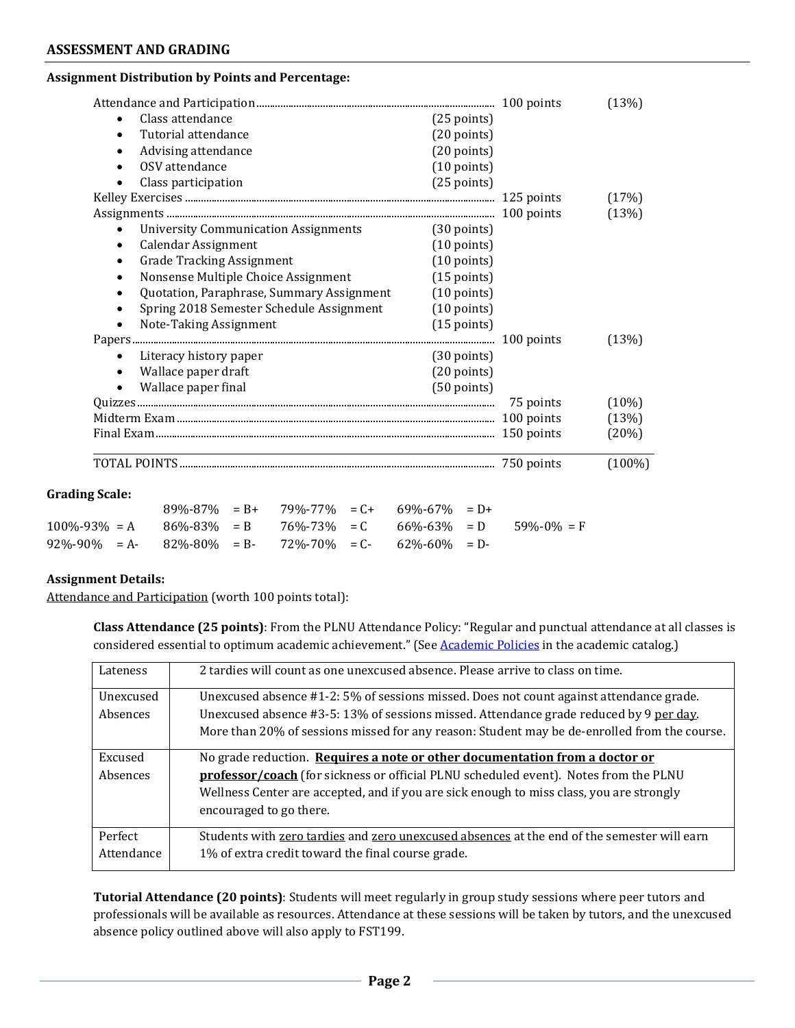## **ASSESSMENT AND GRADING**

#### **Assignment Distribution by Points and Percentage:**

|                                                                                 |            | (13%)     |
|---------------------------------------------------------------------------------|------------|-----------|
| Class attendance<br>$(25$ points)                                               |            |           |
| Tutorial attendance<br>$(20 \text{ points})$<br>$\bullet$                       |            |           |
| $(20 \text{ points})$<br>Advising attendance<br>$\bullet$                       |            |           |
| OSV attendance<br>$(10 \text{ points})$<br>$\bullet$                            |            |           |
| $(25$ points)<br>Class participation<br>$\bullet$                               |            |           |
|                                                                                 |            | (17%)     |
|                                                                                 |            | (13%)     |
| <b>University Communication Assignments</b><br>(30 points)<br>$\bullet$         |            |           |
| Calendar Assignment<br>$(10 \text{ points})$<br>$\bullet$                       |            |           |
| <b>Grade Tracking Assignment</b><br>$(10 \text{ points})$<br>$\bullet$          |            |           |
| Nonsense Multiple Choice Assignment<br>$(15$ points)<br>$\bullet$               |            |           |
| Quotation, Paraphrase, Summary Assignment<br>$(10 \text{ points})$<br>$\bullet$ |            |           |
| Spring 2018 Semester Schedule Assignment<br>$(10 \text{ points})$<br>$\bullet$  |            |           |
| Note-Taking Assignment<br>$(15$ points)<br>$\bullet$                            |            |           |
|                                                                                 |            | (13%)     |
| Literacy history paper<br>$(30 \text{ points})$                                 |            |           |
| Wallace paper draft<br>$(20 \text{ points})$<br>$\bullet$                       |            |           |
| Wallace paper final<br>$(50$ points)                                            |            |           |
|                                                                                 | 75 points  | $(10\%)$  |
|                                                                                 | 100 points | (13%)     |
|                                                                                 | 150 points | (20%)     |
|                                                                                 |            | $(100\%)$ |

#### **Grading Scale:**

|                                                                             | $89\% - 87\% = B + 79\% - 77\% = C + 69\% - 67\% = D +$ |  |  |                                                                                           |
|-----------------------------------------------------------------------------|---------------------------------------------------------|--|--|-------------------------------------------------------------------------------------------|
|                                                                             |                                                         |  |  | $100\% - 93\% = A$ $86\% - 83\% = B$ $76\% - 73\% = C$ $66\% - 63\% = D$ $59\% - 0\% = F$ |
| $92\% - 90\% = A - 82\% - 80\% = B - 72\% - 70\% = C - 62\% - 60\% = D - 1$ |                                                         |  |  |                                                                                           |

#### **Assignment Details:**

Attendance and Participation (worth 100 points total):

**Class Attendance (25 points)**: From the PLNU Attendance Policy: "Regular and punctual attendance at all classes is considered essential to optimum academic achievement." (See Academic Policies in the academic catalog.)

| Lateness              | 2 tardies will count as one unexcused absence. Please arrive to class on time.                                                                                                                                                                                                             |
|-----------------------|--------------------------------------------------------------------------------------------------------------------------------------------------------------------------------------------------------------------------------------------------------------------------------------------|
| Unexcused<br>Absences | Unexcused absence #1-2: 5% of sessions missed. Does not count against attendance grade.<br>Unexcused absence #3-5: 13% of sessions missed. Attendance grade reduced by 9 per day.<br>More than 20% of sessions missed for any reason: Student may be de-enrolled from the course.          |
| Excused<br>Absences   | No grade reduction. Requires a note or other documentation from a doctor or<br>professor/coach (for sickness or official PLNU scheduled event). Notes from the PLNU<br>Wellness Center are accepted, and if you are sick enough to miss class, you are strongly<br>encouraged to go there. |
| Perfect<br>Attendance | Students with zero tardies and zero unexcused absences at the end of the semester will earn<br>1% of extra credit toward the final course grade.                                                                                                                                           |

**Tutorial Attendance (20 points)**: Students will meet regularly in group study sessions where peer tutors and professionals will be available as resources. Attendance at these sessions will be taken by tutors, and the unexcused absence policy outlined above will also apply to FST199.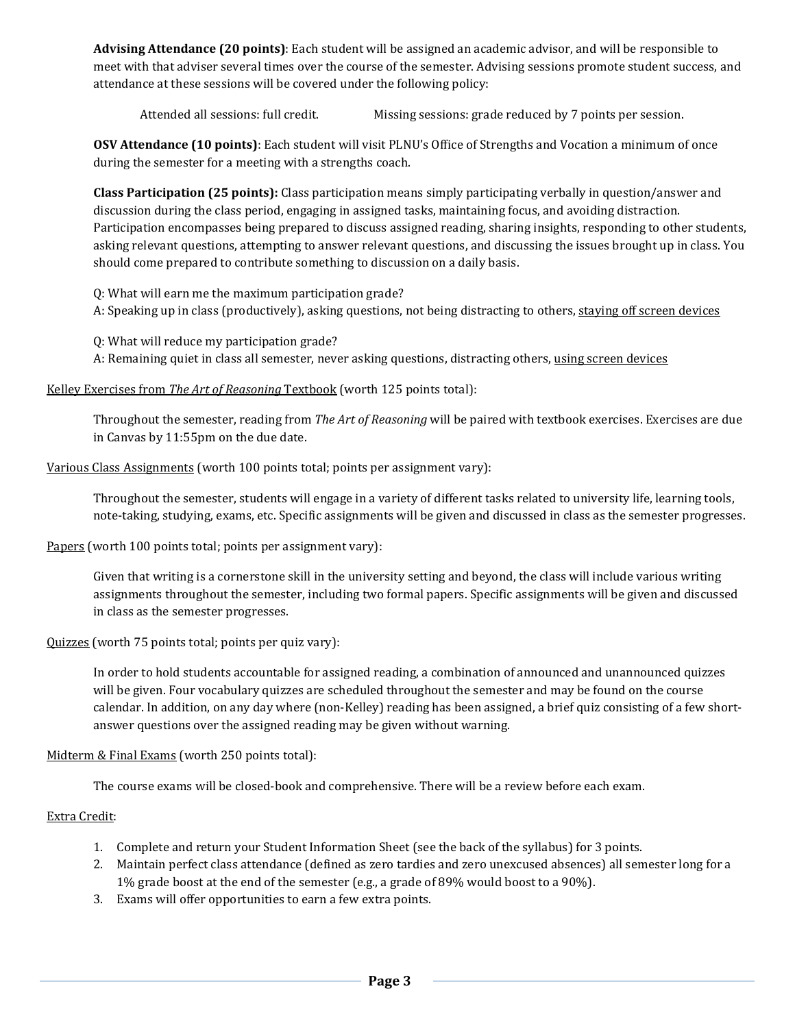**Advising Attendance (20 points)**: Each student will be assigned an academic advisor, and will be responsible to meet with that adviser several times over the course of the semester. Advising sessions promote student success, and attendance at these sessions will be covered under the following policy:

Attended all sessions: full credit. Missing sessions: grade reduced by 7 points per session.

**OSV Attendance (10 points)**: Each student will visit PLNU's Office of Strengths and Vocation a minimum of once during the semester for a meeting with a strengths coach.

**Class Participation (25 points):** Class participation means simply participating verbally in question/answer and discussion during the class period, engaging in assigned tasks, maintaining focus, and avoiding distraction. Participation encompasses being prepared to discuss assigned reading, sharing insights, responding to other students, asking relevant questions, attempting to answer relevant questions, and discussing the issues brought up in class. You should come prepared to contribute something to discussion on a daily basis.

Q: What will earn me the maximum participation grade?

A: Speaking up in class (productively), asking questions, not being distracting to others, staying off screen devices

Q: What will reduce my participation grade?

A: Remaining quiet in class all semester, never asking questions, distracting others, using screen devices

Kelley Exercises from *The Art of Reasoning* Textbook (worth 125 points total):

Throughout the semester, reading from *The Art of Reasoning* will be paired with textbook exercises. Exercises are due in Canvas by 11:55pm on the due date.

Various Class Assignments (worth 100 points total; points per assignment vary):

Throughout the semester, students will engage in a variety of different tasks related to university life, learning tools, note-taking, studying, exams, etc. Specific assignments will be given and discussed in class as the semester progresses.

Papers (worth 100 points total; points per assignment vary):

Given that writing is a cornerstone skill in the university setting and beyond, the class will include various writing assignments throughout the semester, including two formal papers. Specific assignments will be given and discussed in class as the semester progresses.

Quizzes (worth 75 points total; points per quiz vary):

In order to hold students accountable for assigned reading, a combination of announced and unannounced quizzes will be given. Four vocabulary quizzes are scheduled throughout the semester and may be found on the course calendar. In addition, on any day where (non-Kelley) reading has been assigned, a brief quiz consisting of a few shortanswer questions over the assigned reading may be given without warning.

Midterm & Final Exams (worth 250 points total):

The course exams will be closed-book and comprehensive. There will be a review before each exam.

Extra Credit:

- 1. Complete and return your Student Information Sheet (see the back of the syllabus) for 3 points.
- 2. Maintain perfect class attendance (defined as zero tardies and zero unexcused absences) all semester long for a 1% grade boost at the end of the semester (e.g., a grade of 89% would boost to a 90%).
- 3. Exams will offer opportunities to earn a few extra points.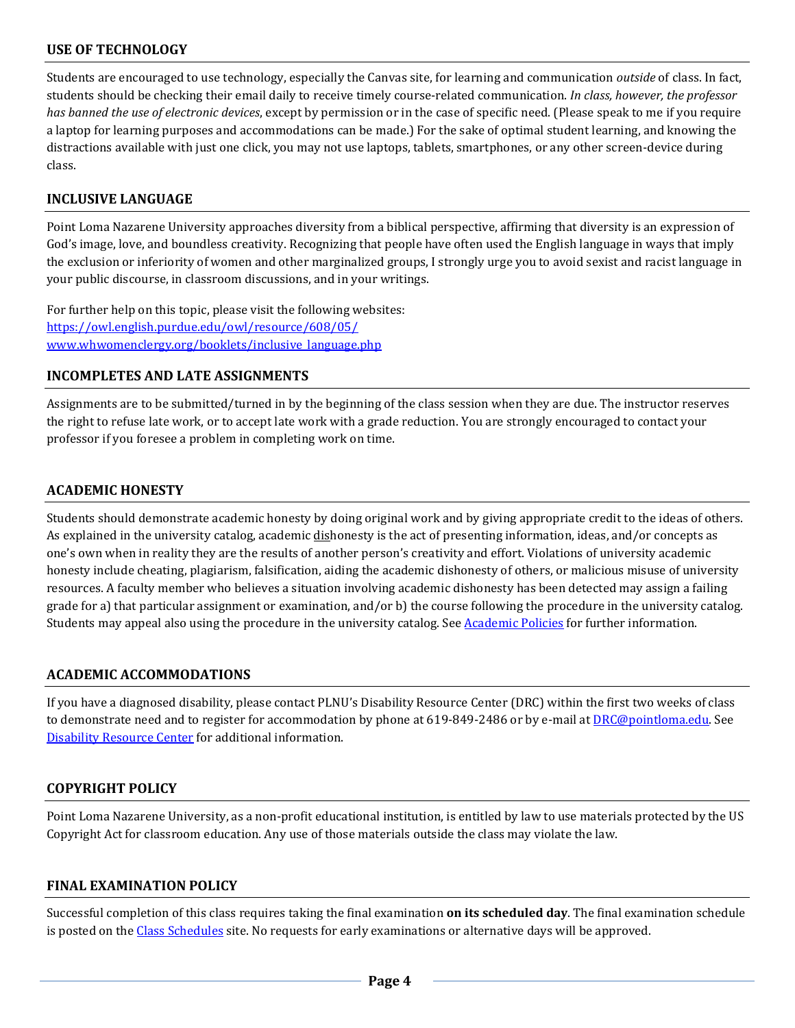# **USE OF TECHNOLOGY**

Students are encouraged to use technology, especially the Canvas site, for learning and communication *outside* of class. In fact, students should be checking their email daily to receive timely course-related communication. *In class, however, the professor has banned the use of electronic devices*, except by permission or in the case of specific need. (Please speak to me if you require a laptop for learning purposes and accommodations can be made.) For the sake of optimal student learning, and knowing the distractions available with just one click, you may not use laptops, tablets, smartphones, or any other screen-device during class.

## **INCLUSIVE LANGUAGE**

Point Loma Nazarene University approaches diversity from a biblical perspective, affirming that diversity is an expression of God's image, love, and boundless creativity. Recognizing that people have often used the English language in ways that imply the exclusion or inferiority of women and other marginalized groups, I strongly urge you to avoid sexist and racist language in your public discourse, in classroom discussions, and in your writings.

For further help on this topic, please visit the following websites: https://owl.english.purdue.edu/owl/resource/608/05/ www.whwomenclergy.org/booklets/inclusive\_language.php

### **INCOMPLETES AND LATE ASSIGNMENTS**

Assignments are to be submitted/turned in by the beginning of the class session when they are due. The instructor reserves the right to refuse late work, or to accept late work with a grade reduction. You are strongly encouraged to contact your professor if you foresee a problem in completing work on time.

### **ACADEMIC HONESTY**

Students should demonstrate academic honesty by doing original work and by giving appropriate credit to the ideas of others. As explained in the university catalog, academic dishonesty is the act of presenting information, ideas, and/or concepts as one's own when in reality they are the results of another person's creativity and effort. Violations of university academic honesty include cheating, plagiarism, falsification, aiding the academic dishonesty of others, or malicious misuse of university resources. A faculty member who believes a situation involving academic dishonesty has been detected may assign a failing grade for a) that particular assignment or examination, and/or b) the course following the procedure in the university catalog. Students may appeal also using the procedure in the university catalog. See Academic Policies for further information.

# **ACADEMIC ACCOMMODATIONS**

If you have a diagnosed disability, please contact PLNU's Disability Resource Center (DRC) within the first two weeks of class to demonstrate need and to register for accommodation by phone at 619-849-2486 or by e-mail at DRC@pointloma.edu. See Disability Resource Center for additional information.

# **COPYRIGHT POLICY**

Point Loma Nazarene University, as a non-profit educational institution, is entitled by law to use materials protected by the US Copyright Act for classroom education. Any use of those materials outside the class may violate the law.

# **FINAL EXAMINATION POLICY**

Successful completion of this class requires taking the final examination **on its scheduled day**. The final examination schedule is posted on the Class Schedules site. No requests for early examinations or alternative days will be approved.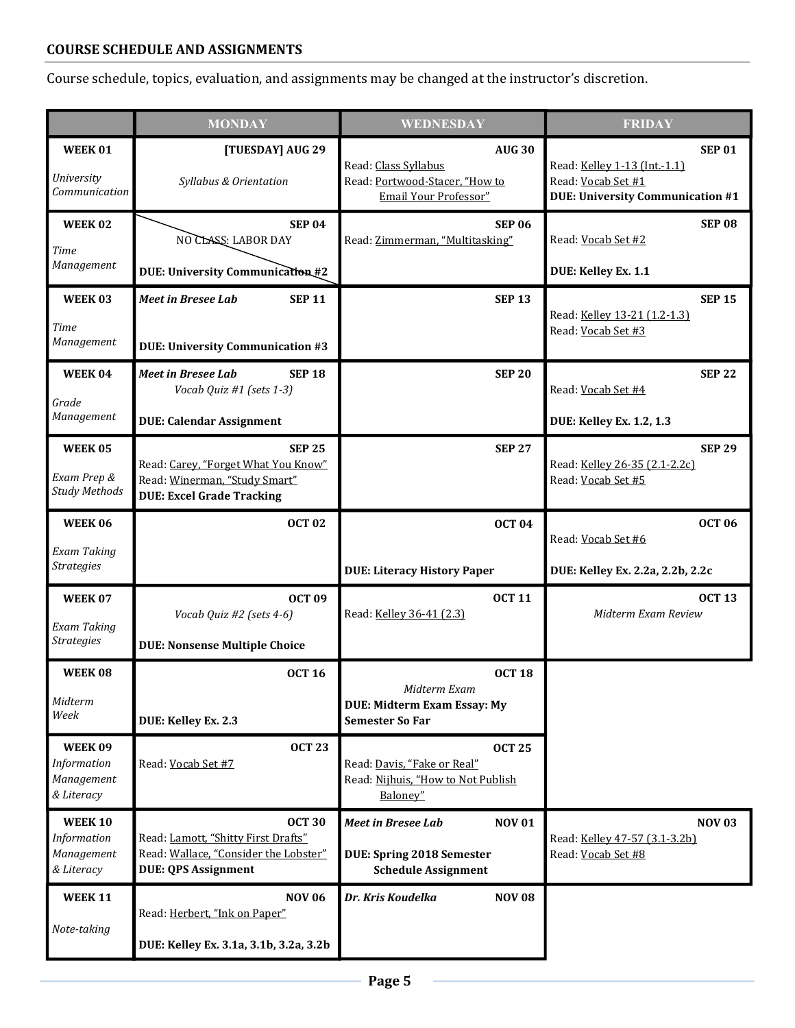# **COURSE SCHEDULE AND ASSIGNMENTS**

Course schedule, topics, evaluation, and assignments may be changed at the instructor's discretion.

|                                                           | <b>MONDAY</b>                                                                                                               | WEDNESDAY                                                                                                    | <b>FRIDAY</b>                                                                                                  |
|-----------------------------------------------------------|-----------------------------------------------------------------------------------------------------------------------------|--------------------------------------------------------------------------------------------------------------|----------------------------------------------------------------------------------------------------------------|
| WEEK01<br><b>University</b><br>Communication              | [TUESDAY] AUG 29<br>Syllabus & Orientation                                                                                  | <b>AUG 30</b><br>Read: Class Syllabus<br>Read: Portwood-Stacer, "How to<br>Email Your Professor"             | <b>SEP 01</b><br>Read: Kelley 1-13 (Int.-1.1)<br>Read: Vocab Set #1<br><b>DUE: University Communication #1</b> |
| <b>WEEK02</b><br><b>Time</b><br>Management                | <b>SEP 04</b><br>NO CLASS: LABOR DAY<br>DUE: University Communication #2                                                    | <b>SEP 06</b><br>Read: Zimmerman, "Multitasking"                                                             | <b>SEP 08</b><br>Read: Vocab Set #2<br>DUE: Kelley Ex. 1.1                                                     |
| <b>WEEK03</b><br>Time<br>Management                       | <b>SEP 11</b><br><b>Meet in Bresee Lab</b><br><b>DUE: University Communication #3</b>                                       | <b>SEP 13</b>                                                                                                | <b>SEP 15</b><br>Read: Kelley 13-21 (1.2-1.3)<br>Read: Vocab Set #3                                            |
| WEEK 04<br>Grade<br>Management                            | <b>Meet in Bresee Lab</b><br><b>SEP 18</b><br>Vocab Quiz #1 (sets 1-3)<br><b>DUE: Calendar Assignment</b>                   | <b>SEP 20</b>                                                                                                | <b>SEP 22</b><br>Read: Vocab Set #4<br><b>DUE: Kelley Ex. 1.2, 1.3</b>                                         |
| <b>WEEK05</b><br>Exam Prep &<br><b>Study Methods</b>      | <b>SEP 25</b><br>Read: Carey, "Forget What You Know"<br>Read: Winerman, "Study Smart"<br><b>DUE: Excel Grade Tracking</b>   | <b>SEP 27</b>                                                                                                | <b>SEP 29</b><br>Read: Kelley 26-35 (2.1-2.2c)<br>Read: Vocab Set #5                                           |
| <b>WEEK06</b><br>Exam Taking<br><b>Strategies</b>         | <b>OCT 02</b>                                                                                                               | <b>OCT 04</b><br><b>DUE: Literacy History Paper</b>                                                          | <b>OCT 06</b><br>Read: Vocab Set #6<br>DUE: Kelley Ex. 2.2a, 2.2b, 2.2c                                        |
| <b>WEEK07</b><br>Exam Taking<br><b>Strategies</b>         | <b>OCT 09</b><br>Vocab Quiz #2 (sets 4-6)<br><b>DUE: Nonsense Multiple Choice</b>                                           | <b>OCT 11</b><br>Read: Kelley 36-41 (2.3)                                                                    | <b>OCT 13</b><br>Midterm Exam Review                                                                           |
| WEEK08<br>Midterm<br>Week                                 | <b>OCT 16</b><br>DUE: Kelley Ex. 2.3                                                                                        | <b>OCT 18</b><br>Midterm Exam<br><b>DUE: Midterm Exam Essay: My</b><br><b>Semester So Far</b>                |                                                                                                                |
| WEEK09<br>Information<br>Management<br>& Literacy         | <b>OCT 23</b><br>Read: Vocab Set #7                                                                                         | <b>OCT 25</b><br>Read: Davis, "Fake or Real"<br>Read: Nijhuis, "How to Not Publish<br>Baloney"               |                                                                                                                |
| <b>WEEK 10</b><br>Information<br>Management<br>& Literacy | <b>OCT 30</b><br>Read: Lamott, "Shitty First Drafts"<br>Read: Wallace, "Consider the Lobster"<br><b>DUE: QPS Assignment</b> | <b>Meet in Bresee Lab</b><br><b>NOV 01</b><br><b>DUE: Spring 2018 Semester</b><br><b>Schedule Assignment</b> | <b>NOV 03</b><br>Read: Kelley 47-57 (3.1-3.2b)<br>Read: Vocab Set #8                                           |
| <b>WEEK 11</b><br>Note-taking                             | <b>NOV 06</b><br>Read: Herbert, "Ink on Paper"<br>DUE: Kelley Ex. 3.1a, 3.1b, 3.2a, 3.2b                                    | Dr. Kris Koudelka<br><b>NOV 08</b>                                                                           |                                                                                                                |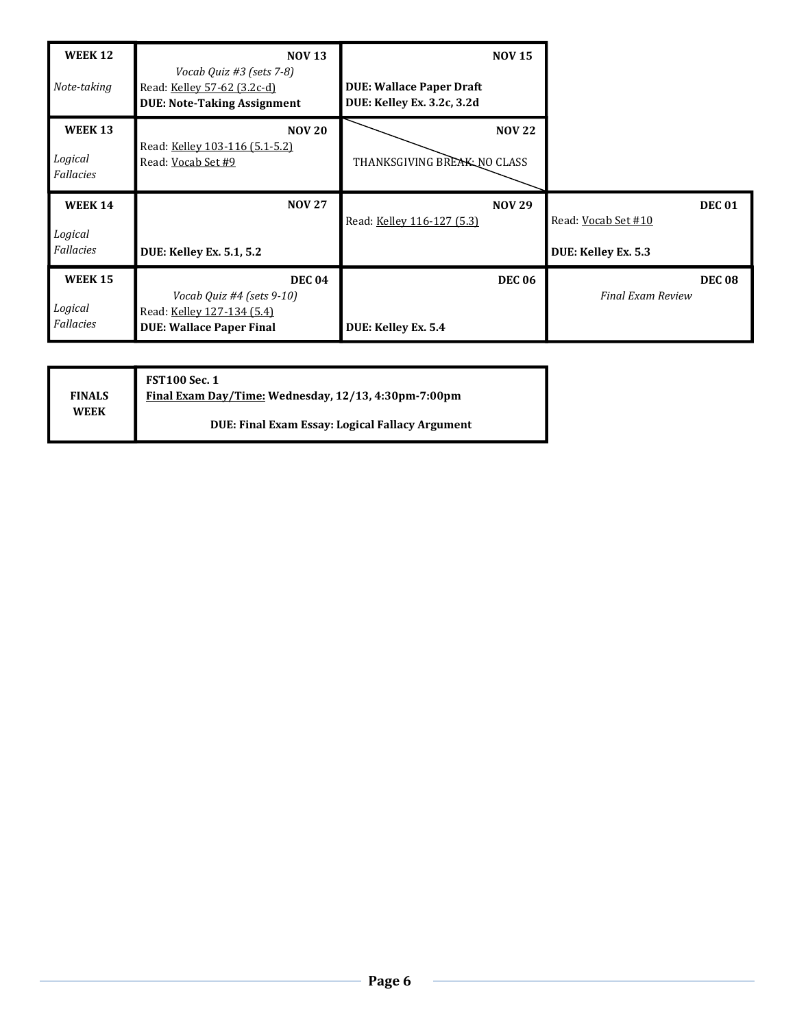| <b>WEEK 12</b><br>Note-taking | <b>NOV 13</b><br>Vocab Quiz #3 (sets 7-8)<br>Read: Kelley 57-62 (3.2c-d)<br><b>DUE: Note-Taking Assignment</b> | <b>NOV 15</b><br><b>DUE: Wallace Paper Draft</b><br>DUE: Kelley Ex. 3.2c, 3.2d |                          |
|-------------------------------|----------------------------------------------------------------------------------------------------------------|--------------------------------------------------------------------------------|--------------------------|
| <b>WEEK 13</b>                | <b>NOV 20</b>                                                                                                  | <b>NOV 22</b>                                                                  |                          |
| Logical<br>Fallacies          | Read: Kelley 103-116 (5.1-5.2)<br>Read: Vocab Set #9                                                           | THANKSGIVING BREAK NO CLASS                                                    |                          |
|                               |                                                                                                                |                                                                                |                          |
| <b>WEEK 14</b>                | <b>NOV 27</b>                                                                                                  | <b>NOV 29</b>                                                                  | <b>DEC 01</b>            |
| Logical                       |                                                                                                                | Read: Kelley 116-127 (5.3)                                                     | Read: Vocab Set #10      |
| Fallacies                     | <b>DUE: Kelley Ex. 5.1, 5.2</b>                                                                                |                                                                                | DUE: Kelley Ex. 5.3      |
| <b>WEEK 15</b>                | <b>DEC 04</b>                                                                                                  | <b>DEC 06</b>                                                                  | <b>DEC 08</b>            |
| Logical                       | Vocab Quiz #4 (sets 9-10)<br>Read: Kelley 127-134 (5.4)                                                        |                                                                                | <b>Final Exam Review</b> |

|                              | <b>FST100 Sec. 1</b>                                   |
|------------------------------|--------------------------------------------------------|
| <b>FINALS</b><br><b>WEEK</b> | Final Exam Day/Time: Wednesday, 12/13, 4:30pm-7:00pm   |
|                              | <b>DUE: Final Exam Essay: Logical Fallacy Argument</b> |